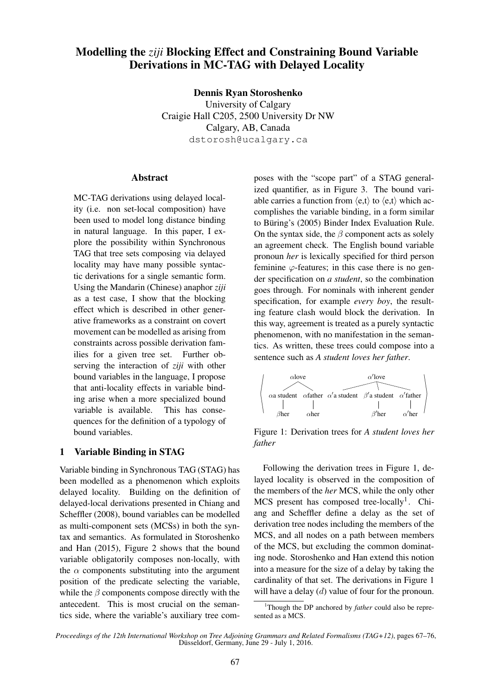# Modelling the *ziji* Blocking Effect and Constraining Bound Variable Derivations in MC-TAG with Delayed Locality

Dennis Ryan Storoshenko

University of Calgary Craigie Hall C205, 2500 University Dr NW Calgary, AB, Canada dstorosh@ucalgary.ca

#### Abstract

MC-TAG derivations using delayed locality (i.e. non set-local composition) have been used to model long distance binding in natural language. In this paper, I explore the possibility within Synchronous TAG that tree sets composing via delayed locality may have many possible syntactic derivations for a single semantic form. Using the Mandarin (Chinese) anaphor *ziji* as a test case, I show that the blocking effect which is described in other generative frameworks as a constraint on covert movement can be modelled as arising from constraints across possible derivation families for a given tree set. Further observing the interaction of *ziji* with other bound variables in the language, I propose that anti-locality effects in variable binding arise when a more specialized bound variable is available. This has consequences for the definition of a typology of bound variables.

#### 1 Variable Binding in STAG

Variable binding in Synchronous TAG (STAG) has been modelled as a phenomenon which exploits delayed locality. Building on the definition of delayed-local derivations presented in Chiang and Scheffler (2008), bound variables can be modelled as multi-component sets (MCSs) in both the syntax and semantics. As formulated in Storoshenko and Han (2015), Figure 2 shows that the bound variable obligatorily composes non-locally, with the  $\alpha$  components substituting into the argument position of the predicate selecting the variable, while the  $\beta$  components compose directly with the antecedent. This is most crucial on the semantics side, where the variable's auxiliary tree composes with the "scope part" of a STAG generalized quantifier, as in Figure 3. The bound variable carries a function from  $\langle e, t \rangle$  to  $\langle e, t \rangle$  which accomplishes the variable binding, in a form similar to Büring's (2005) Binder Index Evaluation Rule. On the syntax side, the  $\beta$  component acts as solely an agreement check. The English bound variable pronoun *her* is lexically specified for third person feminine  $\varphi$ -features; in this case there is no gender specification on *a student*, so the combination goes through. For nominals with inherent gender specification, for example *every boy*, the resulting feature clash would block the derivation. In this way, agreement is treated as a purely syntactic phenomenon, with no manifestation in the semantics. As written, these trees could compose into a sentence such as *A student loves her father*.



Figure 1: Derivation trees for *A student loves her father*

Following the derivation trees in Figure 1, delayed locality is observed in the composition of the members of the *her* MCS, while the only other MCS present has composed tree-locally<sup>1</sup>. Chiang and Scheffler define a delay as the set of derivation tree nodes including the members of the MCS, and all nodes on a path between members of the MCS, but excluding the common dominating node. Storoshenko and Han extend this notion into a measure for the size of a delay by taking the cardinality of that set. The derivations in Figure 1 will have a delay  $(d)$  value of four for the pronoun.

<sup>1</sup>Though the DP anchored by *father* could also be represented as a MCS.

*Proceedings of the 12th International Workshop on Tree Adjoining Grammars and Related Formalisms (TAG+12)*, pages 67–76, Düsseldorf, Germany, June 29 - July 1, 2016.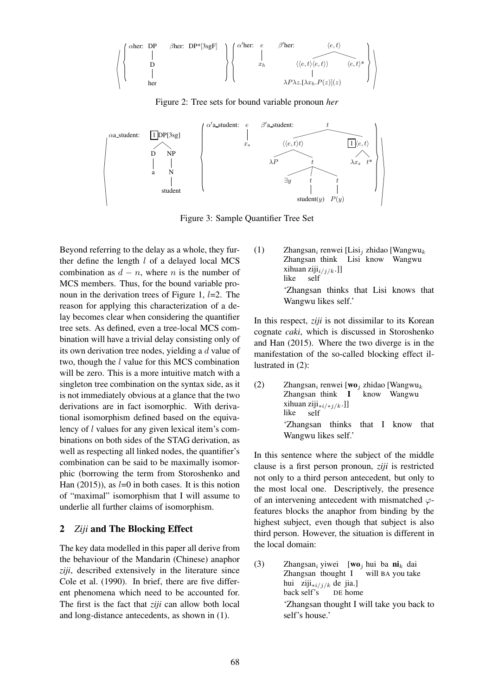$$
\left\langle\left\{\begin{array}{ccc}\text{cher: } & \text{DP} & \text{Bher: } & \text{DP*}[3\text{sgF}] \\ \mid & & & & \mid \\ \text{D} & & & & \mid \\ & & \mid & & & \mid \\ & & & \text{her} & & \end{array}\right\}\right\rangle\left\{\begin{array}{ccc}\alpha'\text{her:} & e & \beta'\text{her:} & \langle e, t\rangle \\ \mid & & & \mid \\ & x_h & \langle \langle e, t\rangle \langle e, t\rangle \rangle & \langle e, t\rangle^* \\ & & \mid \\ & & \lambda P\lambda z.[\lambda x_h.P(z)](z)\end{array}\right\}\right\rangle
$$

Figure 2: Tree sets for bound variable pronoun *her*



Figure 3: Sample Quantifier Tree Set

Beyond referring to the delay as a whole, they further define the length  $l$  of a delayed local MCS combination as  $d - n$ , where n is the number of MCS members. Thus, for the bound variable pronoun in the derivation trees of Figure 1,  $l=2$ . The reason for applying this characterization of a delay becomes clear when considering the quantifier tree sets. As defined, even a tree-local MCS combination will have a trivial delay consisting only of its own derivation tree nodes, yielding a d value of two, though the l value for this MCS combination will be zero. This is a more intuitive match with a singleton tree combination on the syntax side, as it is not immediately obvious at a glance that the two derivations are in fact isomorphic. With derivational isomorphism defined based on the equivalency of l values for any given lexical item's combinations on both sides of the STAG derivation, as well as respecting all linked nodes, the quantifier's combination can be said to be maximally isomorphic (borrowing the term from Storoshenko and Han  $(2015)$ , as  $l=0$  in both cases. It is this notion of "maximal" isomorphism that I will assume to underlie all further claims of isomorphism.

### 2 *Ziji* and The Blocking Effect

The key data modelled in this paper all derive from the behaviour of the Mandarin (Chinese) anaphor *ziji*, described extensively in the literature since Cole et al. (1990). In brief, there are five different phenomena which need to be accounted for. The first is the fact that *ziji* can allow both local and long-distance antecedents, as shown in (1).

(1) Zhangsan<sub>i</sub> renwei [Lisi<sub>j</sub> zhidao [Wangwu<sub>k</sub> Zhangsan think Lisi know Wangwu xihuan ziji $_{i/j/k}$ .]] like self 'Zhangsan thinks that Lisi knows that Wangwu likes self.'

In this respect, *ziji* is not dissimilar to its Korean cognate *caki*, which is discussed in Storoshenko and Han (2015). Where the two diverge is in the manifestation of the so-called blocking effect illustrated in (2):

(2) Zhangsan<sub>i</sub> renwei [wo<sub>j</sub> zhidao [Wangwu<sub>k</sub> Zhangsan think I know Wangwu xihuan ziji∗i/∗j/k.]] like self 'Zhangsan thinks that I know that Wangwu likes self.'

In this sentence where the subject of the middle clause is a first person pronoun, *ziji* is restricted not only to a third person antecedent, but only to the most local one. Descriptively, the presence of an intervening antecedent with mismatched  $\varphi$ features blocks the anaphor from binding by the highest subject, even though that subject is also third person. However, the situation is different in the local domain:

(3) Zhangsan<sub>i</sub> yiwei [wo<sub>j</sub> hui ba ni<sub>k</sub> dai Zhangsan thought I will BA you take hui ziji<sub>\*i/j/k</sub> de jia.] back self's DE home 'Zhangsan thought I will take you back to self's house.'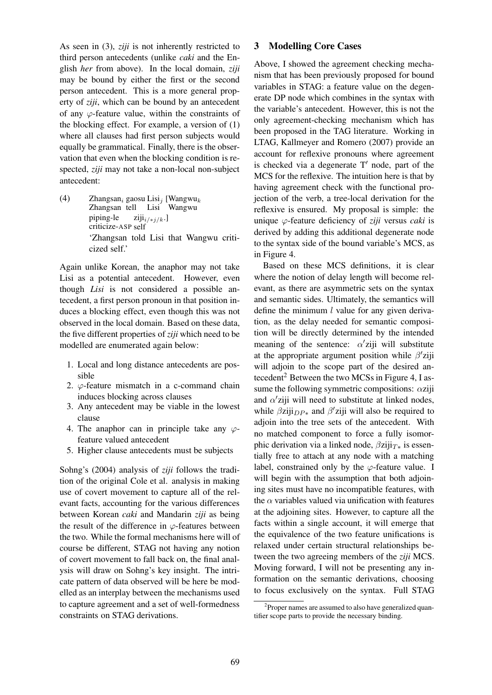As seen in (3), *ziji* is not inherently restricted to third person antecedents (unlike *caki* and the English *her* from above). In the local domain, *ziji* may be bound by either the first or the second person antecedent. This is a more general property of *ziji*, which can be bound by an antecedent of any  $\varphi$ -feature value, within the constraints of the blocking effect. For example, a version of (1) where all clauses had first person subjects would equally be grammatical. Finally, there is the observation that even when the blocking condition is respected, *ziji* may not take a non-local non-subject antecedent:

(4) Zhangsan<sub>i</sub> gaosu Lisi<sub>j</sub> [Wangwu<sub>k</sub> Zhangsan tell Lisi Wangwu piping-le criticize-ASP self ziji<sub>i/∗j/k</sub>.] 'Zhangsan told Lisi that Wangwu criticized self.'

Again unlike Korean, the anaphor may not take Lisi as a potential antecedent. However, even though *Lisi* is not considered a possible antecedent, a first person pronoun in that position induces a blocking effect, even though this was not observed in the local domain. Based on these data, the five different properties of *ziji* which need to be modelled are enumerated again below:

- 1. Local and long distance antecedents are possible
- 2.  $\varphi$ -feature mismatch in a c-command chain induces blocking across clauses
- 3. Any antecedent may be viable in the lowest clause
- 4. The anaphor can in principle take any  $\varphi$ feature valued antecedent
- 5. Higher clause antecedents must be subjects

Sohng's (2004) analysis of *ziji* follows the tradition of the original Cole et al. analysis in making use of covert movement to capture all of the relevant facts, accounting for the various differences between Korean *caki* and Mandarin *ziji* as being the result of the difference in  $\varphi$ -features between the two. While the formal mechanisms here will of course be different, STAG not having any notion of covert movement to fall back on, the final analysis will draw on Sohng's key insight. The intricate pattern of data observed will be here be modelled as an interplay between the mechanisms used to capture agreement and a set of well-formedness constraints on STAG derivations.

### 3 Modelling Core Cases

Above, I showed the agreement checking mechanism that has been previously proposed for bound variables in STAG: a feature value on the degenerate DP node which combines in the syntax with the variable's antecedent. However, this is not the only agreement-checking mechanism which has been proposed in the TAG literature. Working in LTAG, Kallmeyer and Romero (2007) provide an account for reflexive pronouns where agreement is checked via a degenerate  $T'$  node, part of the MCS for the reflexive. The intuition here is that by having agreement check with the functional projection of the verb, a tree-local derivation for the reflexive is ensured. My proposal is simple: the unique ϕ-feature deficiency of *ziji* versus *caki* is derived by adding this additional degenerate node to the syntax side of the bound variable's MCS, as in Figure 4.

Based on these MCS definitions, it is clear where the notion of delay length will become relevant, as there are asymmetric sets on the syntax and semantic sides. Ultimately, the semantics will define the minimum  $l$  value for any given derivation, as the delay needed for semantic composition will be directly determined by the intended meaning of the sentence:  $\alpha'$ ziji will substitute at the appropriate argument position while  $\beta'$ ziji will adjoin to the scope part of the desired antecedent<sup>2</sup> Between the two MCSs in Figure 4, I assume the following symmetric compositions:  $\alpha$ ziji and  $\alpha'$ ziji will need to substitute at linked nodes, while  $\beta$ ziji $_{DP*}$  and  $\beta'$ ziji will also be required to adjoin into the tree sets of the antecedent. With no matched component to force a fully isomorphic derivation via a linked node,  $\beta$ ziji $_{T*}$  is essentially free to attach at any node with a matching label, constrained only by the  $\varphi$ -feature value. I will begin with the assumption that both adjoining sites must have no incompatible features, with the  $\alpha$  variables valued via unification with features at the adjoining sites. However, to capture all the facts within a single account, it will emerge that the equivalence of the two feature unifications is relaxed under certain structural relationships between the two agreeing members of the *ziji* MCS. Moving forward, I will not be presenting any information on the semantic derivations, choosing to focus exclusively on the syntax. Full STAG

<sup>&</sup>lt;sup>2</sup>Proper names are assumed to also have generalized quantifier scope parts to provide the necessary binding.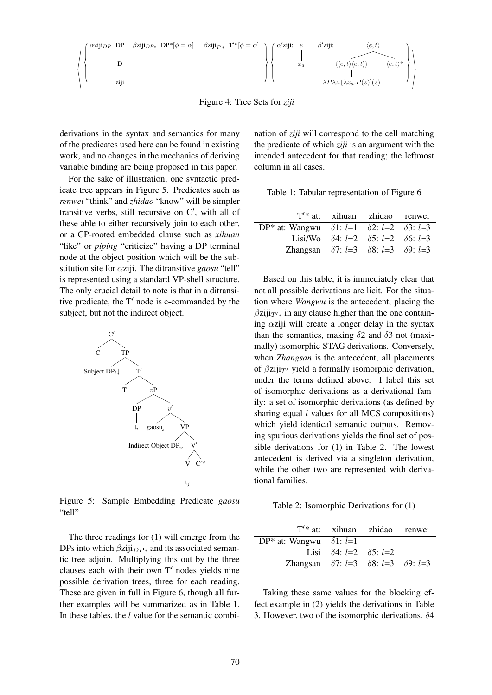αzijiDP DP D ziji βzijiDP<sup>∗</sup> DP\*[φ = α] βzijiT′<sup>∗</sup> T ′\*[φ = α] α ′ ziji: e xa β ′ ziji: he, ti hhe, tihe, tii he, ti\* λP λz.[λxa.P(z)](z) 

Figure 4: Tree Sets for *ziji*

derivations in the syntax and semantics for many of the predicates used here can be found in existing work, and no changes in the mechanics of deriving variable binding are being proposed in this paper.

For the sake of illustration, one syntactic predicate tree appears in Figure 5. Predicates such as *renwei* "think" and *zhidao* "know" will be simpler transitive verbs, still recursive on C′ , with all of these able to either recursively join to each other, or a CP-rooted embedded clause such as *xihuan* "like" or *piping* "criticize" having a DP terminal node at the object position which will be the substitution site for αziji. The ditransitive *gaosu* "tell" is represented using a standard VP-shell structure. The only crucial detail to note is that in a ditransitive predicate, the T′ node is c-commanded by the subject, but not the indirect object.



Figure 5: Sample Embedding Predicate *gaosu* "tell"

The three readings for (1) will emerge from the DPs into which  $\beta$ ziji $_{DP*}$  and its associated semantic tree adjoin. Multiplying this out by the three clauses each with their own T′ nodes yields nine possible derivation trees, three for each reading. These are given in full in Figure 6, though all further examples will be summarized as in Table 1. In these tables, the *l* value for the semantic combination of *ziji* will correspond to the cell matching the predicate of which *ziji* is an argument with the intended antecedent for that reading; the leftmost column in all cases.

|  |  | Table 1: Tabular representation of Figure 6 |  |  |
|--|--|---------------------------------------------|--|--|
|--|--|---------------------------------------------|--|--|

|                                                                                                                                                                                                                                  | T'* at:   xihuan zhidao renwei |  |
|----------------------------------------------------------------------------------------------------------------------------------------------------------------------------------------------------------------------------------|--------------------------------|--|
|                                                                                                                                                                                                                                  |                                |  |
|                                                                                                                                                                                                                                  |                                |  |
| DP* at: Wangwu $\begin{array}{ l} \hline \delta1$ : $l=1$ $\delta2$ : $l=2$ $\delta3$ : $l=3$<br>Lisi/Wo $\delta4$ : $l=2$ $\delta5$ : $l=2$ $\delta6$ : $l=3$<br>Zhangsan $\delta7$ : $l=3$ $\delta8$ : $l=3$ $\delta9$ : $l=3$ |                                |  |

Based on this table, it is immediately clear that not all possible derivations are licit. For the situation where *Wangwu* is the antecedent, placing the  $\beta$ ziji $_{T'*}$  in any clause higher than the one containing  $\alpha$ ziji will create a longer delay in the syntax than the semantics, making  $\delta$ 2 and  $\delta$ 3 not (maximally) isomorphic STAG derivations. Conversely, when *Zhangsan* is the antecedent, all placements of  $\beta$ ziji $_{T'}$  yield a formally isomorphic derivation, under the terms defined above. I label this set of isomorphic derivations as a derivational family: a set of isomorphic derivations (as defined by sharing equal  $l$  values for all MCS compositions) which yield identical semantic outputs. Removing spurious derivations yields the final set of possible derivations for (1) in Table 2. The lowest antecedent is derived via a singleton derivation, while the other two are represented with derivational families.

Table 2: Isomorphic Derivations for (1)

|                                                                                                                          | T'* at:   xihuan zhidao renwei |  |
|--------------------------------------------------------------------------------------------------------------------------|--------------------------------|--|
| $\overline{DP^*}$ at: Wangwu   $\delta 1$ : $l=1$                                                                        |                                |  |
|                                                                                                                          |                                |  |
| Lisi $\begin{vmatrix} \delta4: & l=2 & \delta5: & l=2 \\ \delta7: & l=3 & \delta8: & l=3 & \delta9: & l=3 \end{vmatrix}$ |                                |  |

Taking these same values for the blocking effect example in (2) yields the derivations in Table 3. However, two of the isomorphic derivations,  $\delta$ 4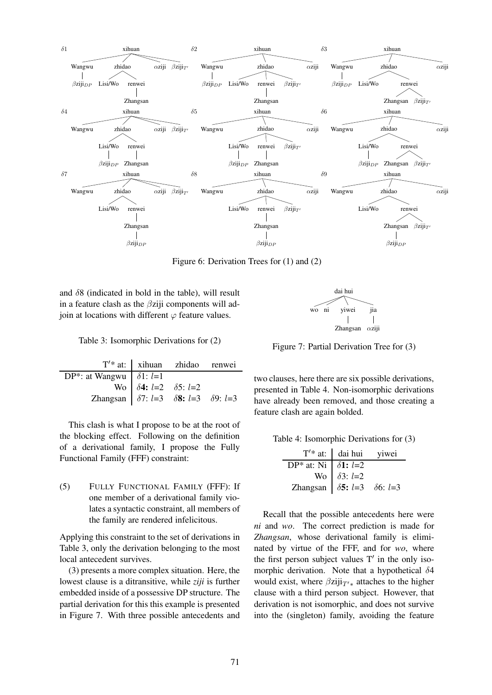

Figure 6: Derivation Trees for (1) and (2)

and  $\delta$ 8 (indicated in bold in the table), will result in a feature clash as the  $\beta$ ziji components will adjoin at locations with different  $\varphi$  feature values.

Table 3: Isomorphic Derivations for (2)

|                                                                                                                                                                                                              | $T'$ * at:   xihuan zhidao renwei |  |
|--------------------------------------------------------------------------------------------------------------------------------------------------------------------------------------------------------------|-----------------------------------|--|
|                                                                                                                                                                                                              |                                   |  |
|                                                                                                                                                                                                              |                                   |  |
| <b>DP*:</b> at Wangwu $\begin{array}{c cc}\n\delta 1: & l=1 \\ \hline\n\text{Wo} & \delta 4: & l=2 \\ \hline\n\text{Zhangsan} & \delta 7: & l=3 \\ \hline\n\delta 8: & l=3 \\ \hline\n\end{array}$ 59: $l=3$ |                                   |  |

This clash is what I propose to be at the root of the blocking effect. Following on the definition of a derivational family, I propose the Fully Functional Family (FFF) constraint:

(5) FULLY FUNCTIONAL FAMILY (FFF): If one member of a derivational family violates a syntactic constraint, all members of the family are rendered infelicitous.

Applying this constraint to the set of derivations in Table 3, only the derivation belonging to the most local antecedent survives.

(3) presents a more complex situation. Here, the lowest clause is a ditransitive, while *ziji* is further embedded inside of a possessive DP structure. The partial derivation for this this example is presented in Figure 7. With three possible antecedents and



Figure 7: Partial Derivation Tree for (3)

two clauses, here there are six possible derivations, presented in Table 4. Non-isomorphic derivations have already been removed, and those creating a feature clash are again bolded.

Table 4: Isomorphic Derivations for (3)

|                                                | $T'$ * at: dai hui viwei |  |
|------------------------------------------------|--------------------------|--|
| $\overline{DP^*}$ at: Ni   $\delta$ 1: $l=2$   |                          |  |
|                                                | Wo $\delta 3$ : $l=2$    |  |
| Zhangsan   $\delta$ 5: $l=3$ $\delta$ 6: $l=3$ |                          |  |

Recall that the possible antecedents here were *ni* and *wo*. The correct prediction is made for *Zhangsan*, whose derivational family is eliminated by virtue of the FFF, and for *wo*, where the first person subject values T′ in the only isomorphic derivation. Note that a hypothetical  $\delta$ 4 would exist, where  $\beta$ ziji<sub>T'</sub>\* attaches to the higher clause with a third person subject. However, that derivation is not isomorphic, and does not survive into the (singleton) family, avoiding the feature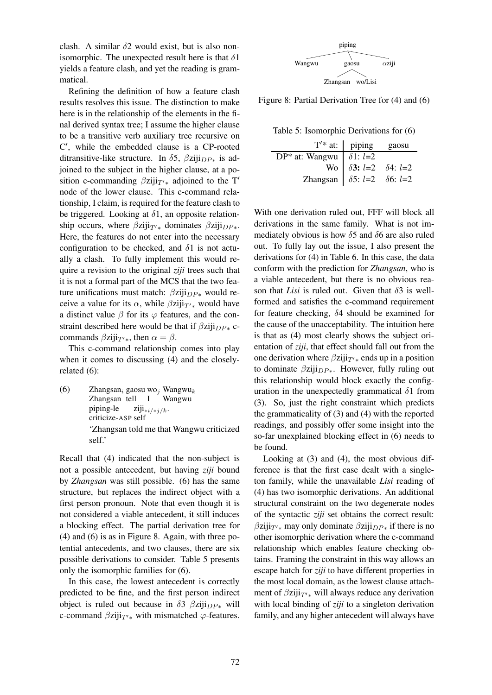clash. A similar  $\delta$ 2 would exist, but is also nonisomorphic. The unexpected result here is that  $\delta$ 1 yields a feature clash, and yet the reading is grammatical.

Refining the definition of how a feature clash results resolves this issue. The distinction to make here is in the relationship of the elements in the final derived syntax tree; I assume the higher clause to be a transitive verb auxiliary tree recursive on C ′ , while the embedded clause is a CP-rooted ditransitive-like structure. In  $\delta$ 5,  $\beta$ ziji $_{DP*}$  is adjoined to the subject in the higher clause, at a position c-commanding  $\beta$ ziji $_{T'*}$  adjoined to the T' node of the lower clause. This c-command relationship, I claim, is required for the feature clash to be triggered. Looking at  $\delta$ 1, an opposite relationship occurs, where  $\beta$ ziji $_{T'*}$  dominates  $\beta$ ziji $_{DP*}$ . Here, the features do not enter into the necessary configuration to be checked, and  $\delta$ 1 is not actually a clash. To fully implement this would require a revision to the original *ziji* trees such that it is not a formal part of the MCS that the two feature unifications must match:  $\beta$ ziji $_{DP*}$  would receive a value for its  $\alpha$ , while  $\beta$ ziji $_{T'*}$  would have a distinct value  $\beta$  for its  $\varphi$  features, and the constraint described here would be that if  $\beta$ ziji $_{DP*}$  ccommands  $\beta$ ziji<sub>T'\*</sub>, then  $\alpha = \beta$ .

This c-command relationship comes into play when it comes to discussing (4) and the closelyrelated (6):

(6) Zhangsan<sub>i</sub> gaosu wo<sub>j</sub> Wangwu<sub>k</sub> Zhangsan tell I Wangwu piping-le criticize-ASP self ziji∗i/∗j/k. 'Zhangsan told me that Wangwu criticized self.'

Recall that (4) indicated that the non-subject is not a possible antecedent, but having *ziji* bound by *Zhangsan* was still possible. (6) has the same structure, but replaces the indirect object with a first person pronoun. Note that even though it is not considered a viable antecedent, it still induces a blocking effect. The partial derivation tree for (4) and (6) is as in Figure 8. Again, with three potential antecedents, and two clauses, there are six possible derivations to consider. Table 5 presents only the isomorphic families for (6).

In this case, the lowest antecedent is correctly predicted to be fine, and the first person indirect object is ruled out because in  $\delta$ 3  $\beta$ ziji $_{DP^*}$  will c-command  $\beta$ ziji $_{T'*}$  with mismatched  $\varphi$ -features.



Figure 8: Partial Derivation Tree for (4) and (6)

Table 5: Isomorphic Derivations for (6)

|                                                | $T'$ * at:   piping                        | gaosu |
|------------------------------------------------|--------------------------------------------|-------|
| DP* at: Wangwu   $\delta$ 1: $l=2$             |                                            |       |
|                                                | Wo   $\delta 3$ : $l=2$ $\delta 4$ : $l=2$ |       |
| Zhangsan   $\delta$ 5: $l=2$ $\delta$ 6: $l=2$ |                                            |       |

With one derivation ruled out, FFF will block all derivations in the same family. What is not immediately obvious is how  $\delta$ 5 and  $\delta$ 6 are also ruled out. To fully lay out the issue, I also present the derivations for (4) in Table 6. In this case, the data conform with the prediction for *Zhangsan*, who is a viable antecedent, but there is no obvious reason that *Lisi* is ruled out. Given that  $\delta$ 3 is wellformed and satisfies the c-command requirement for feature checking, δ4 should be examined for the cause of the unacceptability. The intuition here is that as (4) most clearly shows the subject orientation of *ziji*, that effect should fall out from the one derivation where  $\beta$ ziji $_{T'*}$  ends up in a position to dominate  $\beta$ ziji $_{DP*}$ . However, fully ruling out this relationship would block exactly the configuration in the unexpectedly grammatical  $\delta$ 1 from (3). So, just the right constraint which predicts the grammaticality of (3) and (4) with the reported readings, and possibly offer some insight into the so-far unexplained blocking effect in (6) needs to be found.

Looking at (3) and (4), the most obvious difference is that the first case dealt with a singleton family, while the unavailable *Lisi* reading of (4) has two isomorphic derivations. An additional structural constraint on the two degenerate nodes of the syntactic *ziji* set obtains the correct result:  $\beta$ ziji<sub>T'</sub>∗ may only dominate  $\beta$ ziji<sub>DP</sub>∗ if there is no other isomorphic derivation where the c-command relationship which enables feature checking obtains. Framing the constraint in this way allows an escape hatch for *ziji* to have different properties in the most local domain, as the lowest clause attachment of  $\beta$ ziji $_{T'*}$  will always reduce any derivation with local binding of *ziji* to a singleton derivation family, and any higher antecedent will always have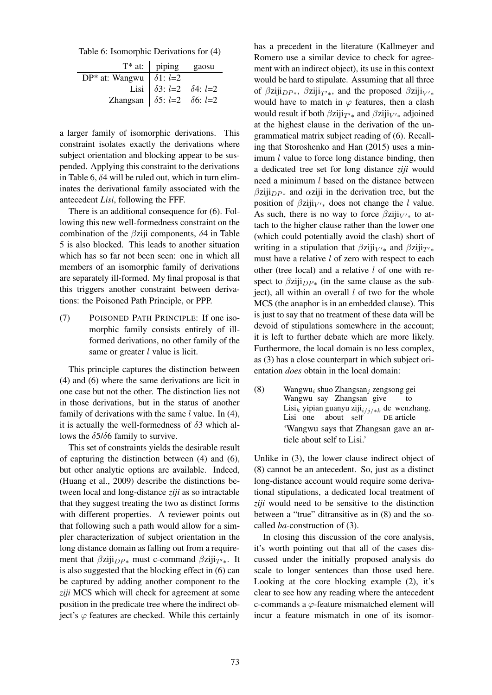Table 6: Isomorphic Derivations for (4)

|                                                                                                  | $T^*$ at: $ $ piping gaosu |  |
|--------------------------------------------------------------------------------------------------|----------------------------|--|
| $\overline{DP^*}$ at: Wangwu   $\delta$ 1: $l=2$                                                 |                            |  |
|                                                                                                  |                            |  |
| Lisi   $\delta 3$ : $l=2$ $\delta 4$ : $l=2$<br>Zhangsan   $\delta 5$ : $l=2$ $\delta 6$ : $l=2$ |                            |  |

a larger family of isomorphic derivations. This constraint isolates exactly the derivations where subject orientation and blocking appear to be suspended. Applying this constraint to the derivations in Table 6,  $\delta$ 4 will be ruled out, which in turn eliminates the derivational family associated with the antecedent *Lisi*, following the FFF.

There is an additional consequence for (6). Following this new well-formedness constraint on the combination of the  $\beta$ ziji components,  $\delta$ 4 in Table 5 is also blocked. This leads to another situation which has so far not been seen: one in which all members of an isomorphic family of derivations are separately ill-formed. My final proposal is that this triggers another constraint between derivations: the Poisoned Path Principle, or PPP.

(7) POISONED PATH PRINCIPLE: If one isomorphic family consists entirely of illformed derivations, no other family of the same or greater *l* value is licit.

This principle captures the distinction between (4) and (6) where the same derivations are licit in one case but not the other. The distinction lies not in those derivations, but in the status of another family of derivations with the same  $l$  value. In (4), it is actually the well-formedness of  $\delta$ 3 which allows the  $\delta$ 5/ $\delta$ 6 family to survive.

This set of constraints yields the desirable result of capturing the distinction between (4) and (6), but other analytic options are available. Indeed, (Huang et al., 2009) describe the distinctions between local and long-distance *ziji* as so intractable that they suggest treating the two as distinct forms with different properties. A reviewer points out that following such a path would allow for a simpler characterization of subject orientation in the long distance domain as falling out from a requirement that  $\beta$ ziji $_{DP*}$  must c-command  $\beta$ ziji $_{T'*}$ . It is also suggested that the blocking effect in (6) can be captured by adding another component to the *ziji* MCS which will check for agreement at some position in the predicate tree where the indirect object's  $\varphi$  features are checked. While this certainly

has a precedent in the literature (Kallmeyer and Romero use a similar device to check for agreement with an indirect object), its use in this context would be hard to stipulate. Assuming that all three of  $\beta$ ziji<sub>DP</sub>\*,  $\beta$ ziji<sub>T'</sub>\*, and the proposed  $\beta$ ziji<sub>V'\*</sub> would have to match in  $\varphi$  features, then a clash would result if both  $\beta$ ziji $_{T'*}$  and  $\beta$ ziji $_{V'*}$  adjoined at the highest clause in the derivation of the ungrammatical matrix subject reading of (6). Recalling that Storoshenko and Han (2015) uses a minimum  $l$  value to force long distance binding, then a dedicated tree set for long distance *ziji* would need a minimum l based on the distance between  $\beta$ ziji $_{DP*}$  and  $\alpha$ ziji in the derivation tree, but the position of  $\beta$ ziji<sub>V'\*</sub> does not change the *l* value. As such, there is no way to force  $\beta$ ziji $_{V'*}$  to attach to the higher clause rather than the lower one (which could potentially avoid the clash) short of writing in a stipulation that  $\beta$ ziji<sub>V'\*</sub> and  $\beta$ ziji<sub>T'\*</sub> must have a relative *l* of zero with respect to each other (tree local) and a relative  $l$  of one with respect to  $\beta$ ziji $_{DP*}$  (in the same clause as the subject), all within an overall  $l$  of two for the whole MCS (the anaphor is in an embedded clause). This is just to say that no treatment of these data will be devoid of stipulations somewhere in the account; it is left to further debate which are more likely. Furthermore, the local domain is no less complex, as (3) has a close counterpart in which subject orientation *does* obtain in the local domain:

(8) Wangwu<sub>i</sub> shuo Zhangsan<sub>j</sub> zengsong gei Wangwu say Zhangsan give to Lisi<sub>k</sub> yipian guanyu ziji<sub>i/j/\*k</sub> de wenzhang. Lisi one about self DE article 'Wangwu says that Zhangsan gave an article about self to Lisi.'

Unlike in (3), the lower clause indirect object of (8) cannot be an antecedent. So, just as a distinct long-distance account would require some derivational stipulations, a dedicated local treatment of *ziji* would need to be sensitive to the distinction between a "true" ditransitive as in (8) and the socalled *ba*-construction of (3).

In closing this discussion of the core analysis, it's worth pointing out that all of the cases discussed under the initially proposed analysis do scale to longer sentences than those used here. Looking at the core blocking example (2), it's clear to see how any reading where the antecedent c-commands a ϕ-feature mismatched element will incur a feature mismatch in one of its isomor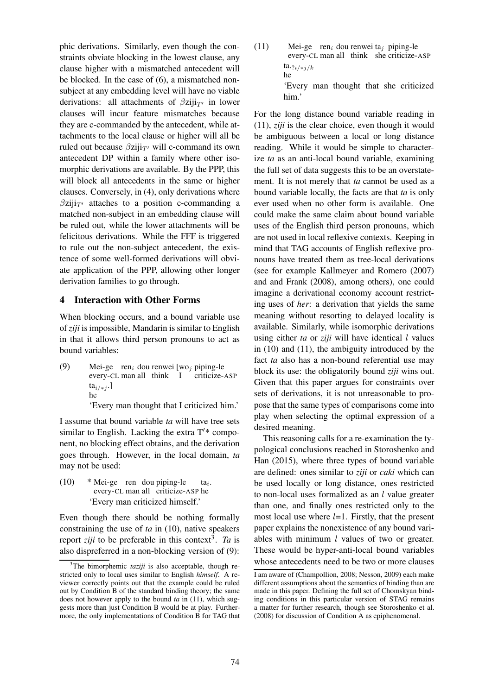phic derivations. Similarly, even though the constraints obviate blocking in the lowest clause, any clause higher with a mismatched antecedent will be blocked. In the case of (6), a mismatched nonsubject at any embedding level will have no viable derivations: all attachments of  $\beta$ ziji $_{T'}$  in lower clauses will incur feature mismatches because they are c-commanded by the antecedent, while attachments to the local clause or higher will all be ruled out because  $\beta$ ziji $_{T'}$  will c-command its own antecedent DP within a family where other isomorphic derivations are available. By the PPP, this will block all antecedents in the same or higher clauses. Conversely, in (4), only derivations where  $\beta$ ziji<sub>T'</sub> attaches to a position c-commanding a matched non-subject in an embedding clause will be ruled out, while the lower attachments will be felicitous derivations. While the FFF is triggered to rule out the non-subject antecedent, the existence of some well-formed derivations will obviate application of the PPP, allowing other longer derivation families to go through.

## 4 Interaction with Other Forms

When blocking occurs, and a bound variable use of *ziji* is impossible, Mandarin is similar to English in that it allows third person pronouns to act as bound variables:

(9) Mei-ge ren<sub>i</sub> dou renwei [wo<sub>j</sub> piping-le every-CL man all think I criticize-ASP ta $_{i/\ast j}$ .] he

'Every man thought that I criticized him.'

I assume that bound variable *ta* will have tree sets similar to English. Lacking the extra  $T'$ \* component, no blocking effect obtains, and the derivation goes through. However, in the local domain, *ta* may not be used:

(10) \* Mei-ge ren dou piping-le every-CL man all criticize-ASP he  $ta_i$ . 'Every man criticized himself.'

Even though there should be nothing formally constraining the use of *ta* in (10), native speakers report *ziji* to be preferable in this context<sup>3</sup>. Ta is also dispreferred in a non-blocking version of (9): (11) Mei-ge ren<sub>i</sub> dou renwei ta<sub>j</sub> piping-le every-CL man all think she criticize-ASP ta. $\frac{\gamma_{i}}{\gamma_{i}}$ he

'Every man thought that she criticized him.'

For the long distance bound variable reading in (11), *ziji* is the clear choice, even though it would be ambiguous between a local or long distance reading. While it would be simple to characterize *ta* as an anti-local bound variable, examining the full set of data suggests this to be an overstatement. It is not merely that *ta* cannot be used as a bound variable locally, the facts are that *ta* is only ever used when no other form is available. One could make the same claim about bound variable uses of the English third person pronouns, which are not used in local reflexive contexts. Keeping in mind that TAG accounts of English reflexive pronouns have treated them as tree-local derivations (see for example Kallmeyer and Romero (2007) and and Frank (2008), among others), one could imagine a derivational economy account restricting uses of *her*: a derivation that yields the same meaning without resorting to delayed locality is available. Similarly, while isomorphic derivations using either  $ta$  or  $ziji$  will have identical  $l$  values in (10) and (11), the ambiguity introduced by the fact *ta* also has a non-bound referential use may block its use: the obligatorily bound *ziji* wins out. Given that this paper argues for constraints over sets of derivations, it is not unreasonable to propose that the same types of comparisons come into play when selecting the optimal expression of a desired meaning.

This reasoning calls for a re-examination the typological conclusions reached in Storoshenko and Han (2015), where three types of bound variable are defined: ones similar to *ziji* or *caki* which can be used locally or long distance, ones restricted to non-local uses formalized as an  $l$  value greater than one, and finally ones restricted only to the most local use where  $l=1$ . Firstly, that the present paper explains the nonexistence of any bound variables with minimum  $l$  values of two or greater. These would be hyper-anti-local bound variables whose antecedents need to be two or more clauses

 $3$ The bimorphemic *taziji* is also acceptable, though restricted only to local uses similar to English *himself*. A reviewer correctly points out that the example could be ruled out by Condition B of the standard binding theory; the same does not however apply to the bound *ta* in (11), which suggests more than just Condition B would be at play. Furthermore, the only implementations of Condition B for TAG that

I am aware of (Champollion, 2008; Nesson, 2009) each make different assumptions about the semantics of binding than are made in this paper. Defining the full set of Chomskyan binding conditions in this particular version of STAG remains a matter for further research, though see Storoshenko et al. (2008) for discussion of Condition A as epiphenomenal.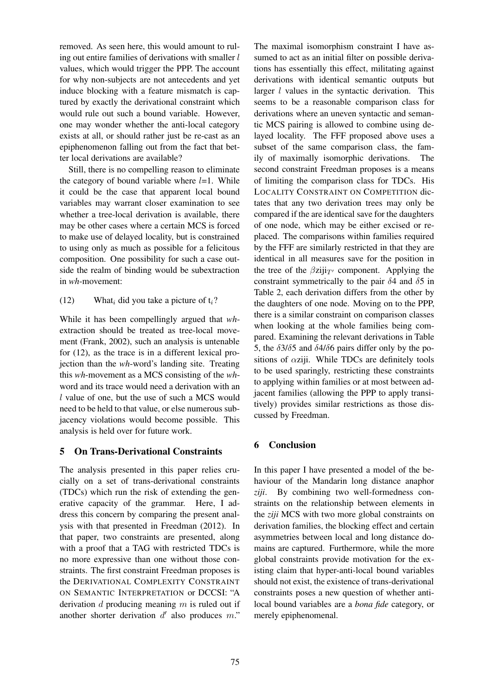removed. As seen here, this would amount to ruling out entire families of derivations with smaller l values, which would trigger the PPP. The account for why non-subjects are not antecedents and yet induce blocking with a feature mismatch is captured by exactly the derivational constraint which would rule out such a bound variable. However, one may wonder whether the anti-local category exists at all, or should rather just be re-cast as an epiphenomenon falling out from the fact that better local derivations are available?

Still, there is no compelling reason to eliminate the category of bound variable where  $l=1$ . While it could be the case that apparent local bound variables may warrant closer examination to see whether a tree-local derivation is available, there may be other cases where a certain MCS is forced to make use of delayed locality, but is constrained to using only as much as possible for a felicitous composition. One possibility for such a case outside the realm of binding would be subextraction in *wh*-movement:

(12) What<sub>i</sub> did you take a picture of  $t_i$ ?

While it has been compellingly argued that *wh*extraction should be treated as tree-local movement (Frank, 2002), such an analysis is untenable for (12), as the trace is in a different lexical projection than the *wh*-word's landing site. Treating this *wh*-movement as a MCS consisting of the *wh*word and its trace would need a derivation with an  $l$  value of one, but the use of such a MCS would need to be held to that value, or else numerous subjacency violations would become possible. This analysis is held over for future work.

## 5 On Trans-Derivational Constraints

The analysis presented in this paper relies crucially on a set of trans-derivational constraints (TDCs) which run the risk of extending the generative capacity of the grammar. Here, I address this concern by comparing the present analysis with that presented in Freedman (2012). In that paper, two constraints are presented, along with a proof that a TAG with restricted TDCs is no more expressive than one without those constraints. The first constraint Freedman proposes is the DERIVATIONAL COMPLEXITY CONSTRAINT ON SEMANTIC INTERPRETATION or DCCSI: "A derivation  $d$  producing meaning  $m$  is ruled out if another shorter derivation  $d'$  also produces  $m$ ."

The maximal isomorphism constraint I have assumed to act as an initial filter on possible derivations has essentially this effect, militating against derivations with identical semantic outputs but larger *l* values in the syntactic derivation. This seems to be a reasonable comparison class for derivations where an uneven syntactic and semantic MCS pairing is allowed to combine using delayed locality. The FFF proposed above uses a subset of the same comparison class, the family of maximally isomorphic derivations. The second constraint Freedman proposes is a means of limiting the comparison class for TDCs. His LOCALITY CONSTRAINT ON COMPETITION dictates that any two derivation trees may only be compared if the are identical save for the daughters of one node, which may be either excised or replaced. The comparisons within families required by the FFF are similarly restricted in that they are identical in all measures save for the position in the tree of the  $\beta$ ziji $_{T'}$  component. Applying the constraint symmetrically to the pair  $\delta$ 4 and  $\delta$ 5 in Table 2, each derivation differs from the other by the daughters of one node. Moving on to the PPP, there is a similar constraint on comparison classes when looking at the whole families being compared. Examining the relevant derivations in Table 5, the  $\delta 3/\delta 5$  and  $\delta 4/\delta 6$  pairs differ only by the positions of  $\alpha$ ziji. While TDCs are definitely tools to be used sparingly, restricting these constraints to applying within families or at most between adjacent families (allowing the PPP to apply transitively) provides similar restrictions as those discussed by Freedman.

## 6 Conclusion

In this paper I have presented a model of the behaviour of the Mandarin long distance anaphor *ziji*. By combining two well-formedness constraints on the relationship between elements in the *ziji* MCS with two more global constraints on derivation families, the blocking effect and certain asymmetries between local and long distance domains are captured. Furthermore, while the more global constraints provide motivation for the existing claim that hyper-anti-local bound variables should not exist, the existence of trans-derivational constraints poses a new question of whether antilocal bound variables are a *bona fide* category, or merely epiphenomenal.